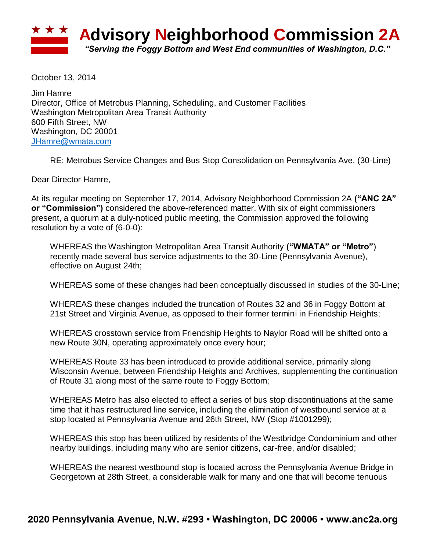

October 13, 2014

Jim Hamre Director, Office of Metrobus Planning, Scheduling, and Customer Facilities Washington Metropolitan Area Transit Authority 600 Fifth Street, NW Washington, DC 20001 [JHamre@wmata.com](mailto:JHamre@wmata.com)

RE: Metrobus Service Changes and Bus Stop Consolidation on Pennsylvania Ave. (30-Line)

Dear Director Hamre,

At its regular meeting on September 17, 2014, Advisory Neighborhood Commission 2A **("ANC 2A" or "Commission")** considered the above-referenced matter. With six of eight commissioners present, a quorum at a duly-noticed public meeting, the Commission approved the following resolution by a vote of (6-0-0):

WHEREAS the Washington Metropolitan Area Transit Authority **("WMATA" or "Metro"**) recently made several bus service adjustments to the 30-Line (Pennsylvania Avenue), effective on August 24th;

WHEREAS some of these changes had been conceptually discussed in studies of the 30-Line;

WHEREAS these changes included the truncation of Routes 32 and 36 in Foggy Bottom at 21st Street and Virginia Avenue, as opposed to their former termini in Friendship Heights;

WHEREAS crosstown service from Friendship Heights to Naylor Road will be shifted onto a new Route 30N, operating approximately once every hour;

WHEREAS Route 33 has been introduced to provide additional service, primarily along Wisconsin Avenue, between Friendship Heights and Archives, supplementing the continuation of Route 31 along most of the same route to Foggy Bottom;

WHEREAS Metro has also elected to effect a series of bus stop discontinuations at the same time that it has restructured line service, including the elimination of westbound service at a stop located at Pennsylvania Avenue and 26th Street, NW (Stop #1001299);

WHEREAS this stop has been utilized by residents of the Westbridge Condominium and other nearby buildings, including many who are senior citizens, car-free, and/or disabled;

WHEREAS the nearest westbound stop is located across the Pennsylvania Avenue Bridge in Georgetown at 28th Street, a considerable walk for many and one that will become tenuous